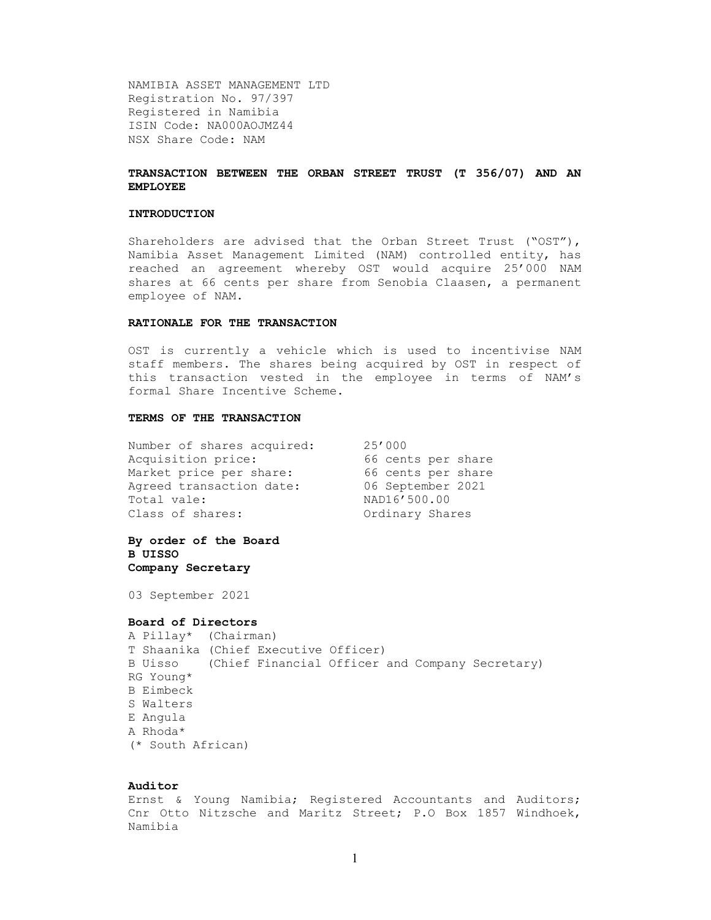NAMIBIA ASSET MANAGEMENT LTD Registration No. 97/397 Registered in Namibia ISIN Code: NA000AOJMZ44 NSX Share Code: NAM

# TRANSACTION BETWEEN THE ORBAN STREET TRUST (T 356/07) AND AN EMPLOYEE

#### INTRODUCTION

Shareholders are advised that the Orban Street Trust ("OST"), Namibia Asset Management Limited (NAM) controlled entity, has reached an agreement whereby OST would acquire 25'000 NAM shares at 66 cents per share from Senobia Claasen, a permanent employee of NAM.

## RATIONALE FOR THE TRANSACTION

OST is currently a vehicle which is used to incentivise NAM staff members. The shares being acquired by OST in respect of this transaction vested in the employee in terms of NAM's formal Share Incentive Scheme.

# TERMS OF THE TRANSACTION

| Number of shares acquired: | 25'000             |  |  |  |
|----------------------------|--------------------|--|--|--|
| Acquisition price:         | 66 cents per share |  |  |  |
| Market price per share:    | 66 cents per share |  |  |  |
| Agreed transaction date:   | 06 September 2021  |  |  |  |
| Total vale:                | NAD16'500.00       |  |  |  |
| Class of shares:           | Ordinary Shares    |  |  |  |

By order of the Board B UISSO Company Secretary

03 September 2021

#### Board of Directors

| A Pillay* (Chairman) |                                      |  |                                                         |  |
|----------------------|--------------------------------------|--|---------------------------------------------------------|--|
|                      | T Shaanika (Chief Executive Officer) |  |                                                         |  |
|                      |                                      |  | B Uisso (Chief Financial Officer and Company Secretary) |  |
| RG Young*            |                                      |  |                                                         |  |
| B Eimbeck            |                                      |  |                                                         |  |
| S Walters            |                                      |  |                                                         |  |
| E Angula             |                                      |  |                                                         |  |
| A Rhoda*             |                                      |  |                                                         |  |
| (* South African)    |                                      |  |                                                         |  |

## Auditor

Ernst & Young Namibia; Registered Accountants and Auditors; Cnr Otto Nitzsche and Maritz Street; P.O Box 1857 Windhoek, Namibia